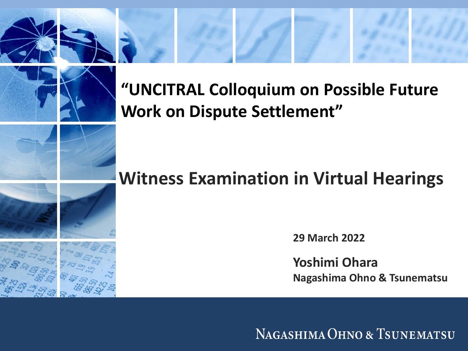#### **"UNCITRAL Colloquium on Possible Future Work on Dispute Settlement"**

#### **Witness Examination in Virtual Hearings**

**29 March 2022**

**Yoshimi Ohara Nagashima Ohno & Tsunematsu**

NAGASHIMA OHNO & TSUNEMATSU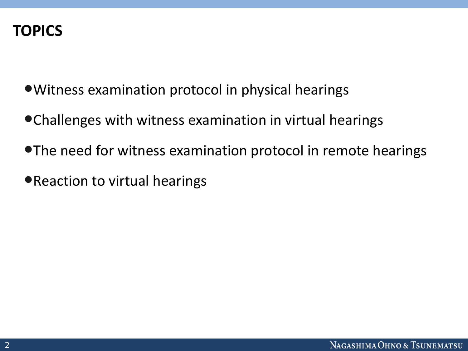#### **TOPICS**

- •Witness examination protocol in physical hearings
- •Challenges with witness examination in virtual hearings
- •The need for witness examination protocol in remote hearings
- •Reaction to virtual hearings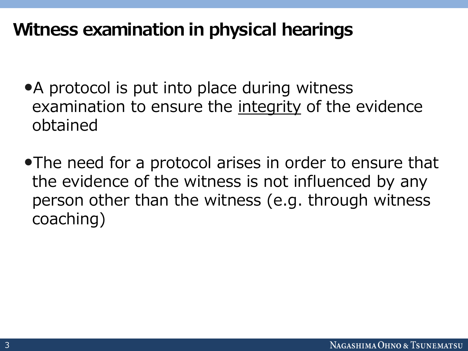#### **Witness examination in physical hearings**

- A protocol is put into place during witness examination to ensure the integrity of the evidence obtained
- •The need for a protocol arises in order to ensure that the evidence of the witness is not influenced by any person other than the witness (e.g. through witness coaching)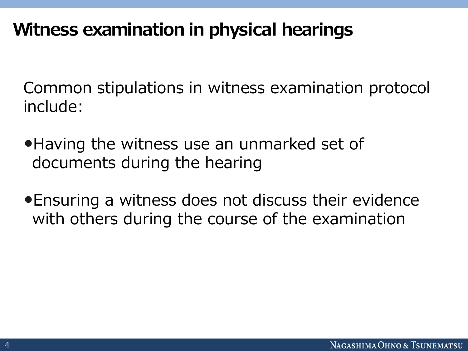### **Witness examination in physical hearings**

Common stipulations in witness examination protocol include:

- •Having the witness use an unmarked set of documents during the hearing
- •Ensuring a witness does not discuss their evidence with others during the course of the examination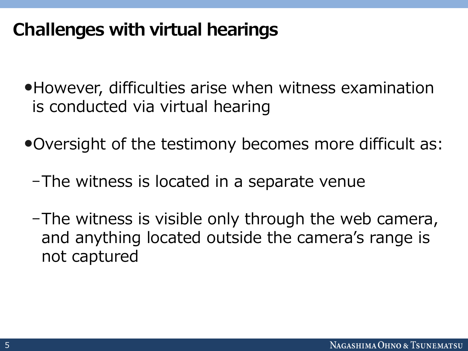# **Challenges with virtual hearings**

- •However, difficulties arise when witness examination is conducted via virtual hearing
- •Oversight of the testimony becomes more difficult as:
	- -The witness is located in a separate venue
	- -The witness is visible only through the web camera, and anything located outside the camera's range is not captured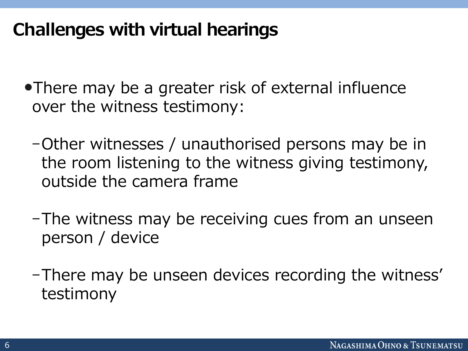# **Challenges with virtual hearings**

- •There may be a greater risk of external influence over the witness testimony:
	- -Other witnesses / unauthorised persons may be in the room listening to the witness giving testimony, outside the camera frame
	- -The witness may be receiving cues from an unseen person / device
	- -There may be unseen devices recording the witness' testimony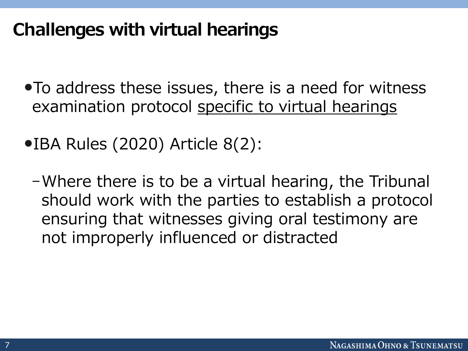# **Challenges with virtual hearings**

- •To address these issues, there is a need for witness examination protocol specific to virtual hearings
- •IBA Rules (2020) Article 8(2):
	- -Where there is to be a virtual hearing, the Tribunal should work with the parties to establish a protocol ensuring that witnesses giving oral testimony are not improperly influenced or distracted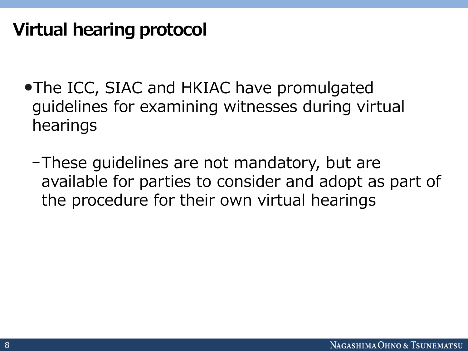- •The ICC, SIAC and HKIAC have promulgated guidelines for examining witnesses during virtual hearings
	- -These guidelines are not mandatory, but are available for parties to consider and adopt as part of the procedure for their own virtual hearings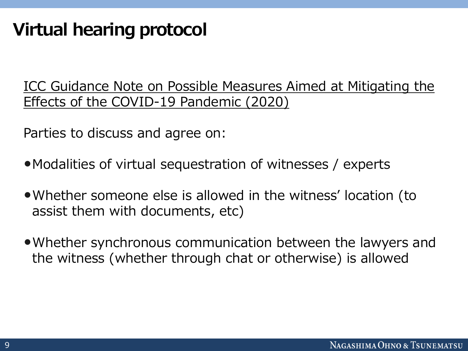ICC Guidance Note on Possible Measures Aimed at Mitigating the Effects of the COVID-19 Pandemic (2020)

Parties to discuss and agree on:

- Modalities of virtual sequestration of witnesses / experts
- •Whether someone else is allowed in the witness' location (to assist them with documents, etc)
- •Whether synchronous communication between the lawyers and the witness (whether through chat or otherwise) is allowed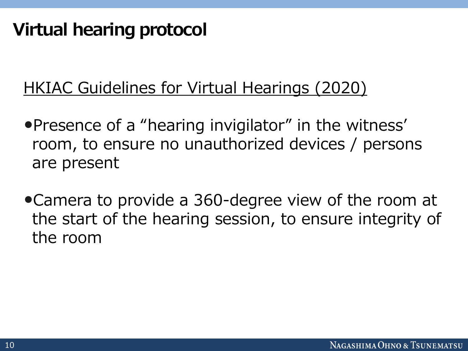#### HKIAC Guidelines for Virtual Hearings (2020)

- •Presence of a "hearing invigilator" in the witness' room, to ensure no unauthorized devices / persons are present
- •Camera to provide a 360-degree view of the room at the start of the hearing session, to ensure integrity of the room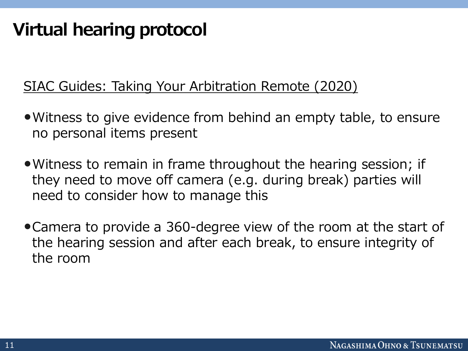#### SIAC Guides: Taking Your Arbitration Remote (2020)

- •Witness to give evidence from behind an empty table, to ensure no personal items present
- Witness to remain in frame throughout the hearing session; if they need to move off camera (e.g. during break) parties will need to consider how to manage this
- •Camera to provide a 360-degree view of the room at the start of the hearing session and after each break, to ensure integrity of the room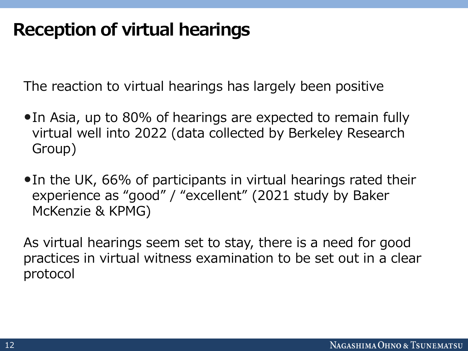#### **Reception of virtual hearings**

The reaction to virtual hearings has largely been positive

- •In Asia, up to 80% of hearings are expected to remain fully virtual well into 2022 (data collected by Berkeley Research Group)
- •In the UK, 66% of participants in virtual hearings rated their experience as "good" / "excellent" (2021 study by Baker McKenzie & KPMG)

As virtual hearings seem set to stay, there is a need for good practices in virtual witness examination to be set out in a clear protocol